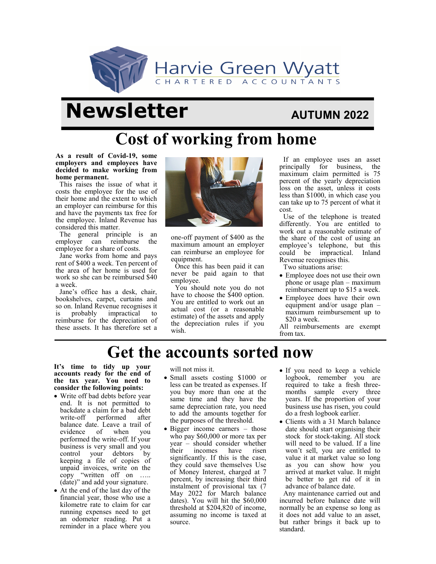

# **Newsletter AUTUMN 2022**

## **Cost of working from home**

**As a result of Covid-19, some employers and employees have decided to make working from home permanent.** 

This raises the issue of what it costs the employee for the use of their home and the extent to which an employer can reimburse for this and have the payments tax free for the employee. Inland Revenue has considered this matter.

The general principle is an employer can reimburse the employee for a share of costs.

Jane works from home and pays rent of \$400 a week. Ten percent of the area of her home is used for work so she can be reimbursed \$40 a week.

Jane's office has a desk, chair, bookshelves, carpet, curtains and so on. Inland Revenue recognises it is probably impractical to reimburse for the depreciation of these assets. It has therefore set a



one-off payment of \$400 as the maximum amount an employer can reimburse an employee for equipment.

Once this has been paid it can never be paid again to that employee.

You should note you do not have to choose the \$400 option. You are entitled to work out an actual cost (or a reasonable estimate) of the assets and apply the depreciation rules if you wish.

If an employee uses an asset principally for business, the maximum claim permitted is 75 percent of the yearly depreciation loss on the asset, unless it costs less than \$1000, in which case you can take up to 75 percent of what it cost.

Use of the telephone is treated differently. You are entitled to work out a reasonable estimate of the share of the cost of using an employee's telephone, but this could be impractical. Inland Revenue recognises this.

Two situations arise:

- Employee does not use their own phone or usage plan – maximum reimbursement up to \$15 a week.
- Employee does have their own equipment and/or usage plan – maximum reimbursement up to \$20 a week.

All reimbursements are exempt from tax.

## **Get the accounts sorted now**

**It's time to tidy up your accounts ready for the end of the tax year. You need to consider the following points:**

- Write off bad debts before year end. It is not permitted to backdate a claim for a bad debt<br>write-off performed after performed after balance date. Leave a trail of evidence of when you performed the write-off. If your business is very small and you control your debtors by keeping a file of copies of unpaid invoices, write on the copy "written off on ….. (date)" and add your signature.
- At the end of the last day of the financial year, those who use a kilometre rate to claim for car running expenses need to get an odometer reading. Put a reminder in a place where you

will not miss it.

- Small assets costing \$1000 or less can be treated as expenses. If you buy more than one at the same time and they have the same depreciation rate, you need to add the amounts together for the purposes of the threshold.
- Bigger income earners those who pay \$60,000 or more tax per year – should consider whether their incomes have risen significantly. If this is the case, they could save themselves Use of Money Interest, charged at 7 percent, by increasing their third instalment of provisional tax (7 May 2022 for March balance dates). You will hit the \$60,000 threshold at \$204,820 of income, assuming no income is taxed at source.
- If you need to keep a vehicle logbook, remember you are required to take a fresh threemonths sample every three years. If the proportion of your business use has risen, you could do a fresh logbook earlier.
- Clients with a 31 March balance date should start organising their stock for stock-taking. All stock will need to be valued. If a line won't sell, you are entitled to value it at market value so long as you can show how you arrived at market value. It might be better to get rid of it in advance of balance date.

Any maintenance carried out and incurred before balance date will normally be an expense so long as it does not add value to an asset, but rather brings it back up to standard.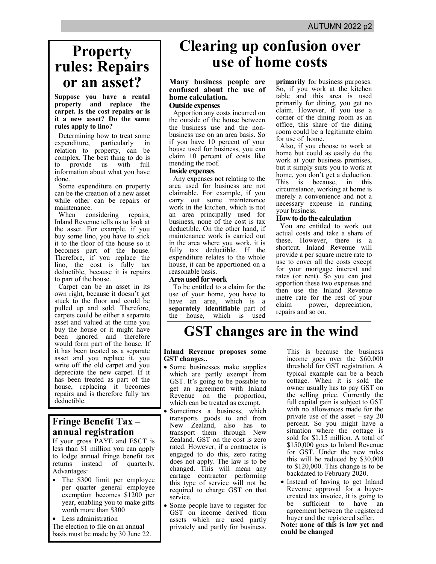## **Property rules: Repairs or an asset?**

**Suppose you have a rental property and replace the carpet. Is the cost repairs or is it a new asset? Do the same rules apply to lino?**

Determining how to treat some expenditure, particularly in relation to property, can be complex. The best thing to do is to provide us with full information about what you have done.

Some expenditure on property can be the creation of a new asset while other can be repairs or maintenance.<br>When com

considering repairs, Inland Revenue tells us to look at the asset. For example, if you buy some lino, you have to stick it to the floor of the house so it becomes part of the house. Therefore, if you replace the lino, the cost is fully tax deductible, because it is repairs to part of the house.

Carpet can be an asset in its own right, because it doesn't get stuck to the floor and could be pulled up and sold. Therefore, carpets could be either a separate asset and valued at the time you buy the house or it might have been ignored and therefore would form part of the house. If it has been treated as a separate asset and you replace it, you write off the old carpet and you depreciate the new carpet. If it has been treated as part of the house, replacing it becomes repairs and is therefore fully tax deductible.

### **Fringe Benefit Tax – annual registration**

If your gross PAYE and ESCT is less than \$1 million you can apply to lodge annual fringe benefit tax returns instead of quarterly. Advantages:

- The \$300 limit per employee per quarter general employee exemption becomes \$1200 per year, enabling you to make gifts worth more than \$300
- Less administration

The election to file on an annual basis must be made by 30 June 22.

## **Clearing up confusion over use of home costs**

#### **Many business people are confused about the use of home calculation. Outside expenses**

Apportion any costs incurred on the outside of the house between the business use and the nonbusiness use on an area basis. So if you have 10 percent of your house used for business, you can claim 10 percent of costs like mending the roof.

#### **Inside expenses**

Any expenses not relating to the area used for business are not claimable. For example, if you carry out some maintenance work in the kitchen, which is not an area principally used for business, none of the cost is tax deductible. On the other hand, if maintenance work is carried out in the area where you work, it is fully tax deductible. If the expenditure relates to the whole house, it can be apportioned on a reasonable basis.

#### **Area used for work**

To be entitled to a claim for the use of your home, you have to have an area, which is a **separately identifiable** part of the house, which is used

**primarily** for business purposes. So, if you work at the kitchen table and this area is used primarily for dining, you get no claim. However, if you use a corner of the dining room as an office, this share of the dining room could be a legitimate claim for use of home.

Also, if you choose to work at home but could as easily do the work at your business premises, but it simply suits you to work at home, you don't get a deduction. This is because, in this circumstance, working at home is merely a convenience and not a necessary expense in running your business.

#### **How to do the calculation**

You are entitled to work out actual costs and take a share of these. However, there is a shortcut. Inland Revenue will provide a per square metre rate to use to cover all the costs except for your mortgage interest and rates (or rent). So you can just apportion these two expenses and then use the Inland Revenue metre rate for the rest of your claim – power, depreciation, repairs and so on.

## **GST changes are in the wind**

#### **Inland Revenue proposes some GST changes..**

- Some businesses make supplies which are partly exempt from GST. It's going to be possible to get an agreement with Inland Revenue on the proportion, which can be treated as exempt.
- Sometimes a business, which transports goods to and from New Zealand, also has to transport them through New Zealand. GST on the cost is zero rated. However, if a contractor is engaged to do this, zero rating does not apply. The law is to be changed. This will mean any cartage contractor performing this type of service will not be required to charge GST on that service.
- Some people have to register for GST on income derived from assets which are used partly privately and partly for business.

This is because the business income goes over the \$60,000 threshold for GST registration. A typical example can be a beach cottage. When it is sold the owner usually has to pay GST on the selling price. Currently the full capital gain is subject to GST with no allowances made for the private use of the asset – say 20 percent. So you might have a situation where the cottage is sold for \$1.15 million. A total of \$150,000 goes to Inland Revenue for GST. Under the new rules this will be reduced by \$30,000 to \$120,000. This change is to be backdated to February 2020.

• Instead of having to get Inland Revenue approval for a buyercreated tax invoice, it is going to be sufficient to have agreement between the registered buyer and the registered seller.

**Note: none of this is law yet and could be changed**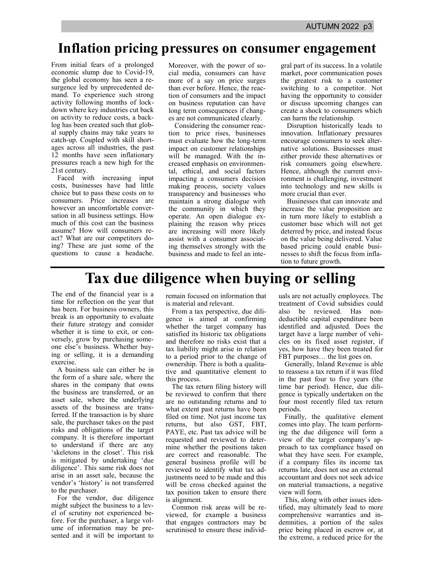## **Inflation pricing pressures on consumer engagement**

From initial fears of a prolonged economic slump due to Covid-19, the global economy has seen a resurgence led by unprecedented demand. To experience such strong activity following months of lockdown where key industries cut back on activity to reduce costs, a backlog has been created such that global supply chains may take years to catch-up. Coupled with skill shortages across all industries, the past 12 months have seen inflationary pressures reach a new high for the 21st century.

Faced with increasing input costs, businesses have had little choice but to pass these costs on to consumers. Price increases are however an uncomfortable conversation in all business settings. How much of this cost can the business assume? How will consumers react? What are our competitors doing? These are just some of the questions to cause a headache.

Moreover, with the power of social media, consumers can have more of a say on price surges than ever before. Hence, the reaction of consumers and the impact on business reputation can have long term consequences if changes are not communicated clearly.

Considering the consumer reaction to price rises, businesses must evaluate how the long-term impact on customer relationships will be managed. With the increased emphasis on environmental, ethical, and social factors impacting a consumers decision making process, society values transparency and businesses who maintain a strong dialogue with the community in which they operate. An open dialogue explaining the reason why prices are increasing will more likely assist with a consumer associating themselves strongly with the business and made to feel an integral part of its success. In a volatile market, poor communication poses the greatest risk to a customer switching to a competitor. Not having the opportunity to consider or discuss upcoming changes can create a shock to consumers which can harm the relationship.

Disruption historically leads to innovation. Inflationary pressures encourage consumers to seek alternative solutions. Businesses must either provide these alternatives or risk consumers going elsewhere. Hence, although the current environment is challenging, investment into technology and new skills is more crucial than ever.

Businesses that can innovate and increase the value proposition are in turn more likely to establish a customer base which will not get deterred by price, and instead focus on the value being delivered. Value based pricing could enable businesses to shift the focus from inflation to future growth.

## **Tax due diligence when buying or selling**

The end of the financial year is a time for reflection on the year that has been. For business owners, this break is an opportunity to evaluate their future strategy and consider whether it is time to exit, or conversely, grow by purchasing someone else's business. Whether buying or selling, it is a demanding exercise.

A business sale can either be in the form of a share sale, where the shares in the company that owns the business are transferred, or an asset sale, where the underlying assets of the business are transferred. If the transaction is by share sale, the purchaser takes on the past risks and obligations of the target company. It is therefore important to understand if there are any 'skeletons in the closet'. This risk is mitigated by undertaking 'due diligence'. This same risk does not arise in an asset sale, because the vendor's 'history' is not transferred to the purchaser.

For the vendor, due diligence might subject the business to a level of scrutiny not experienced before. For the purchaser, a large volume of information may be presented and it will be important to

remain focused on information that is material and relevant.

From a tax perspective, due diligence is aimed at confirming whether the target company has satisfied its historic tax obligations and therefore no risks exist that a tax liability might arise in relation to a period prior to the change of ownership. There is both a qualitative and quantitative element to this process.

The tax return filing history will be reviewed to confirm that there are no outstanding returns and to what extent past returns have been filed on time. Not just income tax returns, but also GST, FBT, PAYE, etc. Past tax advice will be requested and reviewed to determine whether the positions taken are correct and reasonable. The general business profile will be reviewed to identify what tax adjustments need to be made and this will be cross checked against the tax position taken to ensure there is alignment.

Common risk areas will be reviewed, for example a business that engages contractors may be scrutinised to ensure these individuals are not actually employees. The treatment of Covid subsidies could also be reviewed. Has nondeductible capital expenditure been identified and adjusted. Does the target have a large number of vehicles on its fixed asset register, if yes, how have they been treated for FBT purposes… the list goes on.

Generally, Inland Revenue is able to reassess a tax return if it was filed in the past four to five years (the time bar period). Hence, due diligence is typically undertaken on the four most recently filed tax return periods.

Finally, the qualitative element comes into play. The team performing the due diligence will form a view of the target company's approach to tax compliance based on what they have seen. For example, if a company files its income tax returns late, does not use an external accountant and does not seek advice on material transactions, a negative view will form.

This, along with other issues identified, may ultimately lead to more comprehensive warranties and indemnities, a portion of the sales price being placed in escrow or, at the extreme, a reduced price for the